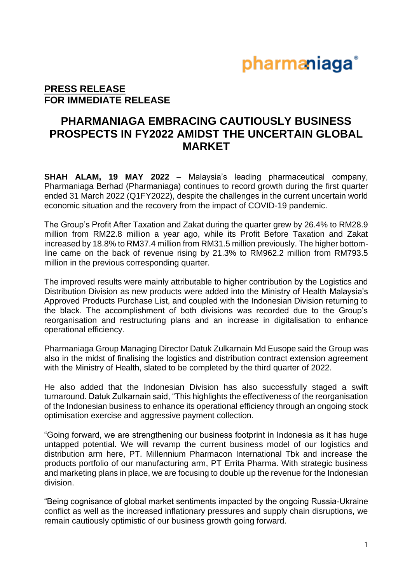## pharmaniaga®

### **PRESS RELEASE FOR IMMEDIATE RELEASE**

### **PHARMANIAGA EMBRACING CAUTIOUSLY BUSINESS PROSPECTS IN FY2022 AMIDST THE UNCERTAIN GLOBAL MARKET**

**SHAH ALAM, 19 MAY 2022** – Malaysia's leading pharmaceutical company, Pharmaniaga Berhad (Pharmaniaga) continues to record growth during the first quarter ended 31 March 2022 (Q1FY2022), despite the challenges in the current uncertain world economic situation and the recovery from the impact of COVID-19 pandemic.

The Group's Profit After Taxation and Zakat during the quarter grew by 26.4% to RM28.9 million from RM22.8 million a year ago, while its Profit Before Taxation and Zakat increased by 18.8% to RM37.4 million from RM31.5 million previously. The higher bottomline came on the back of revenue rising by 21.3% to RM962.2 million from RM793.5 million in the previous corresponding quarter.

The improved results were mainly attributable to higher contribution by the Logistics and Distribution Division as new products were added into the Ministry of Health Malaysia's Approved Products Purchase List, and coupled with the Indonesian Division returning to the black. The accomplishment of both divisions was recorded due to the Group's reorganisation and restructuring plans and an increase in digitalisation to enhance operational efficiency.

Pharmaniaga Group Managing Director Datuk Zulkarnain Md Eusope said the Group was also in the midst of finalising the logistics and distribution contract extension agreement with the Ministry of Health, slated to be completed by the third quarter of 2022.

He also added that the Indonesian Division has also successfully staged a swift turnaround. Datuk Zulkarnain said, "This highlights the effectiveness of the reorganisation of the Indonesian business to enhance its operational efficiency through an ongoing stock optimisation exercise and aggressive payment collection.

"Going forward, we are strengthening our business footprint in Indonesia as it has huge untapped potential. We will revamp the current business model of our logistics and distribution arm here, PT. Millennium Pharmacon International Tbk and increase the products portfolio of our manufacturing arm, PT Errita Pharma. With strategic business and marketing plans in place, we are focusing to double up the revenue for the Indonesian division.

"Being cognisance of global market sentiments impacted by the ongoing Russia-Ukraine conflict as well as the increased inflationary pressures and supply chain disruptions, we remain cautiously optimistic of our business growth going forward.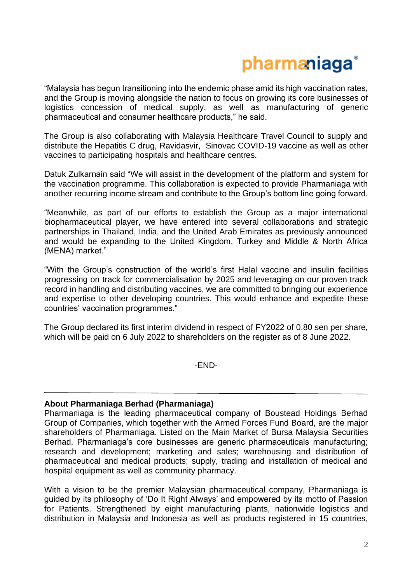## pharmaniaga®

"Malaysia has begun transitioning into the endemic phase amid its high vaccination rates, and the Group is moving alongside the nation to focus on growing its core businesses of logistics concession of medical supply, as well as manufacturing of generic pharmaceutical and consumer healthcare products," he said.

The Group is also collaborating with Malaysia Healthcare Travel Council to supply and distribute the Hepatitis C drug, Ravidasvir, Sinovac COVID-19 vaccine as well as other vaccines to participating hospitals and healthcare centres.

Datuk Zulkarnain said "We will assist in the development of the platform and system for the vaccination programme. This collaboration is expected to provide Pharmaniaga with another recurring income stream and contribute to the Group's bottom line going forward.

"Meanwhile, as part of our efforts to establish the Group as a major international biopharmaceutical player, we have entered into several collaborations and strategic partnerships in Thailand, India, and the United Arab Emirates as previously announced and would be expanding to the United Kingdom, Turkey and Middle & North Africa (MENA) market."

"With the Group's construction of the world's first Halal vaccine and insulin facilities progressing on track for commercialisation by 2025 and leveraging on our proven track record in handling and distributing vaccines, we are committed to bringing our experience and expertise to other developing countries. This would enhance and expedite these countries' vaccination programmes."

The Group declared its first interim dividend in respect of FY2022 of 0.80 sen per share, which will be paid on 6 July 2022 to shareholders on the register as of 8 June 2022.

-END-

#### **About Pharmaniaga Berhad (Pharmaniaga)**

Pharmaniaga is the leading pharmaceutical company of Boustead Holdings Berhad Group of Companies, which together with the Armed Forces Fund Board, are the major shareholders of Pharmaniaga. Listed on the Main Market of Bursa Malaysia Securities Berhad, Pharmaniaga's core businesses are generic pharmaceuticals manufacturing; research and development; marketing and sales; warehousing and distribution of pharmaceutical and medical products; supply, trading and installation of medical and hospital equipment as well as community pharmacy.

With a vision to be the premier Malaysian pharmaceutical company, Pharmaniaga is guided by its philosophy of 'Do It Right Always' and empowered by its motto of Passion for Patients. Strengthened by eight manufacturing plants, nationwide logistics and distribution in Malaysia and Indonesia as well as products registered in 15 countries,